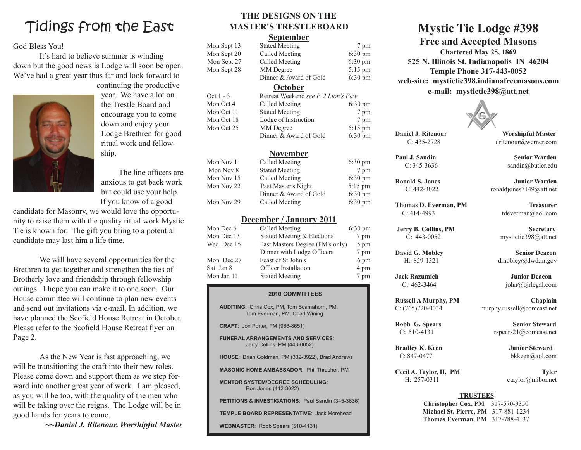## Tidings from the East

### God Bless You!

It's hard to believe summer is winding down but the good news is Lodge will soon be open. We've had a great year thus far and look forward to continuing the productive



year. We have a lot on the Trestle Board and encourage you to come down and enjoy your Lodge Brethren for good ritual work and fellowship.

 The line officers are anxious to get back work but could use your help. If you know of a good

candidate for Masonry, we would love the opportunity to raise them with the quality ritual work Mystic Tie is known for. The gift you bring to a potential candidate may last him a life time.

We will have several opportunities for the Brethren to get together and strengthen the ties of Brotherly love and friendship through fellowship outings. I hope you can make it to one soon. Our House committee will continue to plan new events and send out invitations via e-mail. In addition, we have planned the Scofield House Retreat in October. Please refer to the Scofield House Retreat flyer on Page 2.

As the New Year is fast approaching, we will be transitioning the craft into their new roles. Please come down and support them as we step forward into another great year of work. I am pleased, as you will be too, with the quality of the men who will be taking over the reigns. The Lodge will be in good hands for years to come.

*~~Daniel J. Ritenour, Worshipful Master*

## **THE DESIGNS ON THE MASTER'S TRESTLEBOARD**

#### **September**

| <u>September</u>               |                                                                                                             |  |  |  |
|--------------------------------|-------------------------------------------------------------------------------------------------------------|--|--|--|
| <b>Stated Meeting</b>          | 7 pm                                                                                                        |  |  |  |
| <b>Called Meeting</b>          | 6:30 pm                                                                                                     |  |  |  |
| Called Meeting                 | $6:30 \text{ pm}$                                                                                           |  |  |  |
| MM Degree                      | 5:15 pm                                                                                                     |  |  |  |
| Dinner & Award of Gold         | $6:30 \text{ pm}$                                                                                           |  |  |  |
|                                |                                                                                                             |  |  |  |
|                                |                                                                                                             |  |  |  |
| Called Meeting                 | 6:30 pm                                                                                                     |  |  |  |
| <b>Stated Meeting</b>          | 7 pm                                                                                                        |  |  |  |
| Lodge of Instruction           | 7 pm                                                                                                        |  |  |  |
| MM Degree                      | $5:15$ pm                                                                                                   |  |  |  |
| Dinner & Award of Gold         | 6:30 pm                                                                                                     |  |  |  |
|                                |                                                                                                             |  |  |  |
| Called Meeting                 | $6:30 \text{ pm}$                                                                                           |  |  |  |
| <b>Stated Meeting</b>          | 7 pm                                                                                                        |  |  |  |
| Called Meeting                 | $6:30 \text{ pm}$                                                                                           |  |  |  |
| Past Master's Night            | 5:15 pm                                                                                                     |  |  |  |
| Dinner & Award of Gold         | $6:30 \text{ pm}$                                                                                           |  |  |  |
| Called Meeting                 | $6:30 \text{ pm}$                                                                                           |  |  |  |
| <u>December / January 2011</u> |                                                                                                             |  |  |  |
| Called Meeting                 | 6:30 pm                                                                                                     |  |  |  |
| Stated Meeting & Elections     | 7 pm                                                                                                        |  |  |  |
|                                | 5 pm                                                                                                        |  |  |  |
| Dinner with Lodge Officers     | 7 pm                                                                                                        |  |  |  |
| Feast of St John's             | 6 pm                                                                                                        |  |  |  |
| Officer Installation           | 4 pm                                                                                                        |  |  |  |
| <b>Stated Meeting</b>          | 7 pm                                                                                                        |  |  |  |
| <b>2010 COMMITTEES</b>         |                                                                                                             |  |  |  |
|                                | <b>October</b><br>Retreat Weekend see P. 2 Lion's Paw<br><u>November</u><br>Past Masters Degree (PM's only) |  |  |  |

**AUDITING**: Chris Cox, PM, Tom Scamahorn, PM, Tom Everman, PM, Chad Wining

**CRAFT**: Jon Porter, PM (966-8651)

**FUNERAL ARRANGEMENTS AND SERVICES**: Jerry Collins, PM (443-0052)

**HOUSE**: Brian Goldman, PM (332-3922), Brad Andrews

**MASONIC HOME AMBASSADOR**: Phil Thrasher, PM

**MENTOR SYSTEM/DEGREE SCHEDULING**: Ron Jones (442-3022)

**PETITIONS & INVESTIGATIONS**: Paul Sandin (345-3636)

**TEMPLE BOARD REPRESENTATIVE**: Jack Morehead

**WEBMASTER**: Robb Spears (510-4131)

## **Mystic Tie Lodge #398 Free and Accepted Masons**

**Chartered May 25, 1869 525 N. Illinois St. Indianapolis IN 46204 Temple Phone 317-443-0052 web-site: mystictie398.indianafreemasons.com e-mail: mystictie398@att.net**



**Daniel J. Ritenour Worshipful Master** C: 435-2728 dritenour@werner.com

C:  $462-3464$  john $\omega$ bjrlegal.com

**Russell A Murphy, PM Chaplain** C: (765)720-0034 murphy.russell@comcast.net

**Robb G. Spears Senior Steward** C:  $510-4131$  rspears $21@$ comcast.net

**Bradley K. Keen Junior Steward** C: 847-0477 bkkeen@aol.com

Cecil A. Taylor, II, PM Tyler H: 257-0311 ctaylor@mibor.net

#### **TRUSTEES**

**Christopher Cox, PM** 317-570-9350 **Michael St. Pierre, PM** 317-881-1234 **Thomas Everman, PM** 317-788-4137

**Paul J. Sandin Senior Warden**

C: 345-3636 sandin@butler.edu

**Ronald S. Jones Junior Warden** C: 442-3022 ronaldjones7149@att.net

**Thomas D. Everman, PM Treasurer** C: 414-4993 tdeverman@aol.com

**Jerry B. Collins, PM Secretary** C: 443-0052 mystictie398@att.net

**David G. Mobley Senior Deacon** H: 859-1321 dmobley@dwd.in.gov

**Jack Razumich Junior Deacon**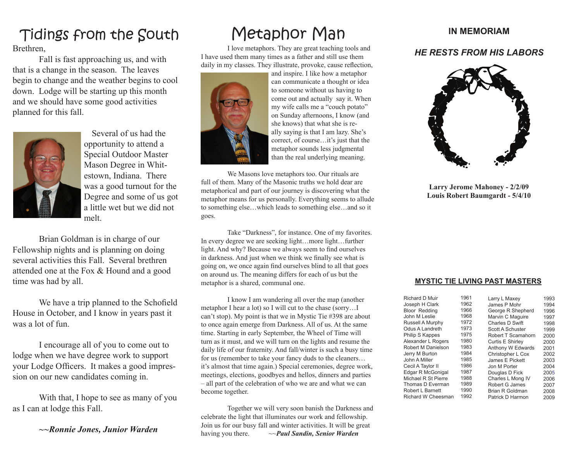# Tidings from the South

Brethren,

Fall is fast approaching us, and with that is a change in the season. The leaves begin to change and the weather begins to cool down. Lodge will be starting up this month and we should have some good activities planned for this fall.



Several of us had the opportunity to attend a Special Outdoor Master Mason Degree in Whitestown, Indiana. There was a good turnout for the Degree and some of us got a little wet but we did not melt.

Brian Goldman is in charge of our Fellowship nights and is planning on doing several activities this Fall. Several brethren attended one at the Fox & Hound and a good time was had by all.

 We have a trip planned to the Schofield House in October, and I know in years past it was a lot of fun.

I encourage all of you to come out to lodge when we have degree work to support your Lodge Officers. It makes a good impression on our new candidates coming in.

With that, I hope to see as many of you as I can at lodge this Fall.

*~~Ronnie Jones, Junior Warden*

# Metaphor Man

I love metaphors. They are great teaching tools and I have used them many times as a father and still use them daily in my classes. They illustrate, provoke, cause reflection,



and inspire. I like how a metaphor can communicate a thought or idea to someone without us having to come out and actually say it. When my wife calls me a "couch potato" on Sunday afternoons, I know (and she knows) that what she is really saying is that I am lazy. She's correct, of course…it's just that the metaphor sounds less judgmental than the real underlying meaning.

We Masons love metaphors too. Our rituals are full of them. Many of the Masonic truths we hold dear are metaphorical and part of our journey is discovering what the metaphor means for us personally. Everything seems to allude to something else…which leads to something else…and so it goes.

Take "Darkness", for instance. One of my favorites. In every degree we are seeking light…more light…further light. And why? Because we always seem to find ourselves in darkness. And just when we think we finally see what is going on, we once again find ourselves blind to all that goes on around us. The meaning differs for each of us but the metaphor is a shared, communal one.

I know I am wandering all over the map (another metaphor I hear a lot) so I will cut to the chase (sorry…I can't stop). My point is that we in Mystic Tie #398 are about to once again emerge from Darkness. All of us. At the same time. Starting in early September, the Wheel of Time will turn as it must, and we will turn on the lights and resume the daily life of our fraternity. And fall/winter is such a busy time for us (remember to take your fancy duds to the cleaners… it's almost that time again.) Special ceremonies, degree work, meetings, elections, goodbyes and hellos, dinners and parties – all part of the celebration of who we are and what we can become together.

Together we will very soon banish the Darkness and celebrate the light that illuminates our work and fellowship. Join us for our busy fall and winter activities. It will be great having you there. ~~*Paul Sandin, Senior Warden*

## **IN MEMORIAM**

## *HE RESTS FROM HIS LABORS*



**Larry Jerome Mahoney - 2/2/09 Louis Robert Baumgardt - 5/4/10**

#### **MYSTIC TIE LIVING PAST MASTERS**

| Richard D Muir         | 1961 | Larry L Maxey           | 1993 |
|------------------------|------|-------------------------|------|
| Joseph H Clark         | 1962 | James P Mohr            | 1994 |
| <b>Bloor Redding</b>   | 1966 | George R Shepherd       | 1996 |
| John M Leslie          | 1968 | Marvin C Maguire        | 1997 |
| Russell A Murphy       | 1972 | Charles D Swift         | 1998 |
| Odus A Landreth        | 1973 | Scott A Schuster        | 1999 |
| <b>Philip S Kappes</b> | 1975 | Robert T Scamahorn      | 2000 |
| Alexander L Rogers     | 1980 | <b>Curtis E Shirlev</b> | 2000 |
| Robert M Danielson     | 1983 | Anthony W Edwards       | 2001 |
| Jerry M Burton         | 1984 | Christopher L Cox       | 2002 |
| John A Miller          | 1985 | James E Pickett         | 2003 |
| Cecil A Taylor II      | 1986 | Jon M Porter            | 2004 |
| Edgar R McGonigal      | 1987 | Douglas D Fick          | 2005 |
| Michael R St Pierre    | 1988 | Charles L Mong IV       | 2006 |
| Thomas D Everman       | 1989 | Robert G James          | 2007 |
| Robert L Barnett       | 1990 | Brian R Goldman         | 2008 |
| Richard W Cheesman     | 1992 | Patrick D Harmon        | 2009 |
|                        |      |                         |      |